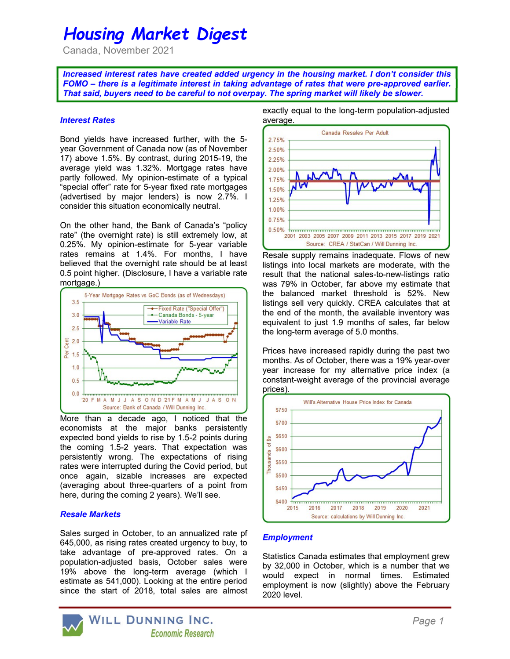# Housing Market Digest

Canada, November 2021

Increased interest rates have created added urgency in the housing market. I don't consider this FOMO – there is a legitimate interest in taking advantage of rates that were pre-approved earlier. That said, buyers need to be careful to not overpay. The spring market will likely be slower.

## Interest Rates

Bond yields have increased further, with the 5 year Government of Canada now (as of November 17) above 1.5%. By contrast, during 2015-19, the average yield was 1.32%. Mortgage rates have partly followed. My opinion-estimate of a typical "special offer" rate for 5-year fixed rate mortgages (advertised by major lenders) is now 2.7%. I consider this situation economically neutral.

On the other hand, the Bank of Canada's "policy rate" (the overnight rate) is still extremely low, at 0.25%. My opinion-estimate for 5-year variable rates remains at 1.4%. For months, I have believed that the overnight rate should be at least 0.5 point higher. (Disclosure, I have a variable rate mortgage.)



More than a decade ago, I noticed that the economists at the major banks persistently expected bond yields to rise by 1.5-2 points during the coming 1.5-2 years. That expectation was persistently wrong. The expectations of rising rates were interrupted during the Covid period, but once again, sizable increases are expected (averaging about three-quarters of a point from here, during the coming 2 years). We'll see.

## Resale Markets

Sales surged in October, to an annualized rate pf 645,000, as rising rates created urgency to buy, to take advantage of pre-approved rates. On a population-adjusted basis, October sales were 19% above the long-term average (which I estimate as 541,000). Looking at the entire period since the start of 2018, total sales are almost exactly equal to the long-term population-adjusted average.



Resale supply remains inadequate. Flows of new listings into local markets are moderate, with the result that the national sales-to-new-listings ratio was 79% in October, far above my estimate that the balanced market threshold is 52%. New listings sell very quickly. CREA calculates that at the end of the month, the available inventory was equivalent to just 1.9 months of sales, far below the long-term average of 5.0 months.

Prices have increased rapidly during the past two months. As of October, there was a 19% year-over year increase for my alternative price index (a constant-weight average of the provincial average prices).



## **Employment**

Statistics Canada estimates that employment grew by 32,000 in October, which is a number that we would expect in normal times. Estimated employment is now (slightly) above the February 2020 level.